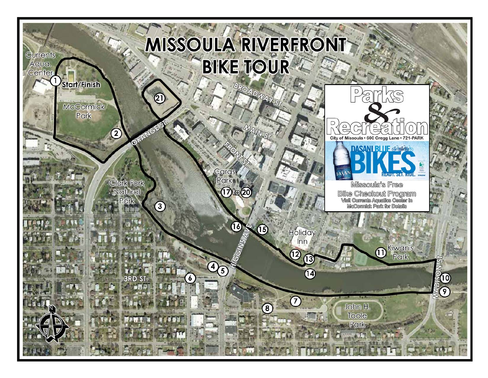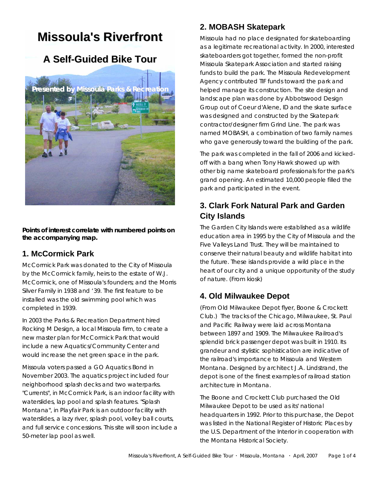# **Missoula's Riverfront**

# **A Self-Guided Bike Tour**



**Points of interest correlate with numbered points on the accompanying map.** 

#### **1. McCormick Park**

McCormick Park was donated to the City of Missoula by the McCormick family, heirs to the estate of W.J. McCormick, one of Missoula's founders; and the Morris Silver Family in 1938 and '39. The first feature to be installed was the old swimming pool which was completed in 1939.

In 2003 the Parks & Recreation Department hired Rocking M Design, a local Missoula firm, to create a new master plan for McCormick Park that would include a new Aquatics/Community Center and would increase the net green space in the park.

Missoula voters passed a GO Aquatics Bond in November 2003. The aquatics project included four neighborhood splash decks and two waterparks. "Currents", in McCormick Park, is an indoor facility with waterslides, lap pool and splash features. "Splash Montana", in Playfair Park is an outdoor facility with waterslides, a lazy river, splash pool, volley ball courts, and full service concessions. This site will soon include a 50-meter lap pool as well.

#### **2. MOBASH Skatepark**

Missoula had no place designated for skateboarding as a legitimate recreational activity. In 2000, interested skateboarders got together, formed the non-profit Missoula Skatepark Association and started raising funds to build the park. The Missoula Redevelopment Agency contributed TIF funds toward the park and helped manage its construction. The site design and landscape plan was done by Abbotswood Design Group out of Coeur d'Alene, ID and the skate surface was designed and constructed by the Skatepark contractor/designer firm Grind Line. The park was named MOBASH, a combination of two family names who gave generously toward the building of the park.

The park was completed in the fall of 2006 and kickedoff with a bang when Tony Hawk showed up with other big name skateboard professionals for the park's grand opening. An estimated 10,000 people filled the park and participated in the event.

# **3. Clark Fork Natural Park and Garden City Islands**

The Garden City Islands were established as a wildlife education area in 1995 by the City of Missoula and the Five Valleys Land Trust. They will be maintained to conserve their natural beauty and wildlife habitat into the future. These islands provide a wild place in the heart of our city and a unique opportunity of the study of nature. (From kiosk)

# **4. Old Milwaukee Depot**

(From Old Milwaukee Depot flyer, Boone & Crockett Club.) The tracks of the Chicago, Milwaukee, St. Paul and Pacific Railway were laid across Montana between 1897 and 1909. The Milwaukee Railroad's splendid brick passenger depot was built in 1910. Its grandeur and stylistic sophistication are indicative of the railroad's importance to Missoula and Western Montana. Designed by architect J.A. Lindstrand, the depot is one of the finest examples of railroad station architecture in Montana.

The Boone and Crockett Club purchased the Old Milwaukee Depot to be used as its' national headquarters in 1992. Prior to this purchase, the Depot was listed in the National Register of Historic Places by the U.S. Department of the Interior in cooperation with the Montana Historical Society.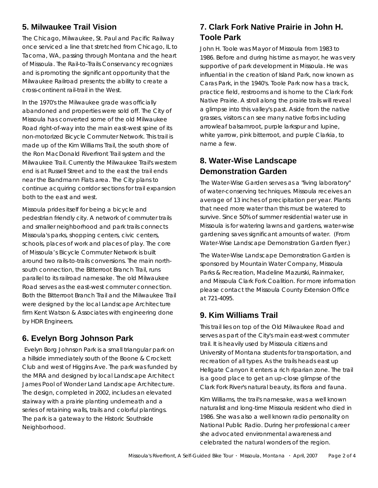#### **5. Milwaukee Trail Vision**

The Chicago, Milwaukee, St. Paul and Pacific Railway once serviced a line that stretched from Chicago, IL to Tacoma, WA, passing through Montana and the heart of Missoula. The Rail-to-Trails Conservancy recognizes and is promoting the significant opportunity that the Milwaukee Railroad presents; the ability to create a cross-continent rail-trail in the West.

In the 1970's the Milwaukee grade was officially abandoned and properties were sold off. The City of Missoula has converted some of the old Milwaukee Road right-of-way into the main east-west spine of its non-motorized Bicycle Commuter Network. This trail is made up of the Kim Williams Trail, the south shore of the Ron MacDonald Riverfront Trail system and the Milwaukee Trail. Currently the Milwaukee Trail's western end is at Russell Street and to the east the trail ends near the Bandmann Flats area. The City plans to continue acquiring corridor sections for trail expansion both to the east and west.

Missoula prides itself for being a bicycle and pedestrian friendly city. A network of commuter trails and smaller neighborhood and park trails connects Missoula's parks, shopping centers, civic centers, schools, places of work and places of play. The core of Missoula's Bicycle Commuter Network is built around two rails-to-trails conversions. The main northsouth connection, the Bitterroot Branch Trail, runs parallel to its railroad namesake. The old Milwaukee Road serves as the east-west commuter connection. Both the Bitterroot Branch Trail and the Milwaukee Trail were designed by the local Landscape Architecture firm Kent Watson & Associates with engineering done by HDR Engineers.

#### **6. Evelyn Borg Johnson Park**

Evelyn Borg Johnson Park is a small triangular park on a hillside immediately south of the Boone & Crockett Club and west of Higgins Ave. The park was funded by the MRA and designed by local Landscape Architect James Pool of Wonder Land Landscape Architecture. The design, completed in 2002, includes an elevated stairway with a prairie planting underneath and a series of retaining walls, trails and colorful plantings. The park is a gateway to the Historic Southside Neighborhood.

# **7. Clark Fork Native Prairie in John H. Toole Park**

John H. Toole was Mayor of Missoula from 1983 to 1986. Before and during his time as mayor, he was very supportive of park development in Missoula. He was influential in the creation of Island Park, now known as Caras Park, in the 1940's. Toole Park now has a track, practice field, restrooms and is home to the Clark Fork Native Prairie. A stroll along the prairie trails will reveal a glimpse into this valley's past. Aside from the native grasses, visitors can see many native forbs including arrowleaf balsamroot, purple larkspur and lupine, white yarrow, pink bitterroot, and purple Clarkia, to name a few.

# **8. Water-Wise Landscape Demonstration Garden**

The Water-Wise Garden serves as a "living laboratory" of water-conserving techniques. Missoula receives an average of 13 inches of precipitation per year. Plants that need more water than this must be watered to survive. Since 50% of summer residential water use in Missoula is for watering lawns and gardens, water-wise gardening saves significant amounts of water. (From Water-Wise Landscape Demonstration Garden flyer.)

The Water-Wise Landscape Demonstration Garden is sponsored by Mountain Water Company, Missoula Parks & Recreation, Madeline Mazurski, Rainmaker, and Missoula Clark Fork Coalition. For more information please contact the Missoula County Extension Office at 721-4095.

#### **9. Kim Williams Trail**

This trail lies on top of the Old Milwaukee Road and serves as part of the City's main east-west commuter trail. It is heavily used by Missoula citizens and University of Montana students for transportation, and recreation of all types. As the trails heads east up Hellgate Canyon it enters a rich riparian zone. The trail is a good place to get an up-close glimpse of the Clark Fork River's natural beauty, its flora and fauna.

Kim Williams, the trail's namesake, was a well known naturalist and long-time Missoula resident who died in 1986. She was also a well known radio personality on National Public Radio. During her professional career she advocated environmental awareness and celebrated the natural wonders of the region.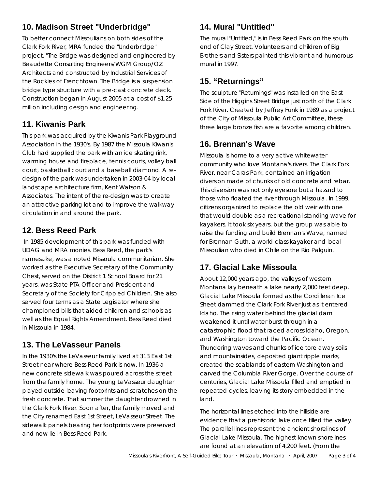# **10. Madison Street "Underbridge"**

To better connect Missoulians on both sides of the Clark Fork River, MRA funded the "Underbridge" project. "The Bridge was designed and engineered by Beaudette Consulting Engineers/WGM Group/OZ Architects and constructed by Industrial Services of the Rockies of Frenchtown. The Bridge is a suspension bridge type structure with a pre-cast concrete deck. Construction began in August 2005 at a cost of \$1.25 million including design and engineering.

#### **11. Kiwanis Park**

This park was acquired by the Kiwanis Park Playground Association in the 1930's. By 1987 the Missoula Kiwanis Club had supplied the park with an ice skating rink, warming house and fireplace, tennis courts, volley ball court, basketball court and a baseball diamond. A redesign of the park was undertaken in 2003-04 by local landscape architecture firm, Kent Watson & Associates. The intent of the re-design was to create an attractive parking lot and to improve the walkway circulation in and around the park.

# **12. Bess Reed Park**

 In 1985 development of this park was funded with UDAG and MRA monies. Bess Reed, the park's namesake, was a noted Missoula communitarian. She worked as the Executive Secretary of the Community Chest, served on the District 1 School Board for 21 years, was State PTA Officer and President and Secretary of the Society for Crippled Children. She also served four terms as a State Legislator where she championed bills that aided children and schools as well as the Equal Rights Amendment. Bess Reed died in Missoula in 1984.

# **13. The LeVasseur Panels**

In the 1930's the LeVasseur family lived at 313 East 1st Street near where Bess Reed Park is now. In 1936 a new concrete sidewalk was poured across the street from the family home. The young LeVasseur daughter played outside leaving footprints and scratches on the fresh concrete. That summer the daughter drowned in the Clark Fork River. Soon after, the family moved and the City renamed East 1st Street, LeVasseur Street. The sidewalk panels bearing her footprints were preserved and now lie in Bess Reed Park.

# **14. Mural "Untitled"**

The mural "Untitled," is in Bess Reed Park on the south end of Clay Street. Volunteers and children of Big Brothers and Sisters painted this vibrant and humorous mural in 1997.

# **15. "Returnings"**

The sculpture "Returnings" was installed on the East Side of the Higgins Street Bridge just north of the Clark Fork River. Created by Jeffrey Funk in 1989 as a project of the City of Missoula Public Art Committee, these three large bronze fish are a favorite among children.

#### **16. Brennan's Wave**

Missoula is home to a very active whitewater community who love Montana's rivers. The Clark Fork River, near Caras Park, contained an irrigation diversion made of chunks of old concrete and rebar. This diversion was not only eyesore but a hazard to those who floated the river through Missoula. In 1999, citizens organized to replace the old weir with one that would double as a recreational standing wave for kayakers. It took six years, but the group was able to raise the funding and build Brennan's Wave, named for Brennan Guth, a world class kayaker and local Missoulian who died in Chile on the Rio Palguin.

# **17. Glacial Lake Missoula**

About 12,000 years ago, the valleys of western Montana lay beneath a lake nearly 2,000 feet deep. Glacial Lake Missoula formed as the Cordilleran Ice Sheet dammed the Clark Fork River just as it entered Idaho. The rising water behind the glacial dam weakened it until water burst through in a catastrophic flood that raced across Idaho, Oregon, and Washington toward the Pacific Ocean. Thundering waves and chunks of ice tore away soils and mountainsides, deposited giant ripple marks, created the scablands of eastern Washington and carved the Columbia River Gorge. Over the course of centuries, Glacial Lake Missoula filled and emptied in repeated cycles, leaving its story embedded in the land.

The horizontal lines etched into the hillside are evidence that a prehistoric lake once filled the valley. The parallel lines represent the ancient shorelines of Glacial Lake Missoula. The highest known shorelines are found at an elevation of 4,200 feet. (From the